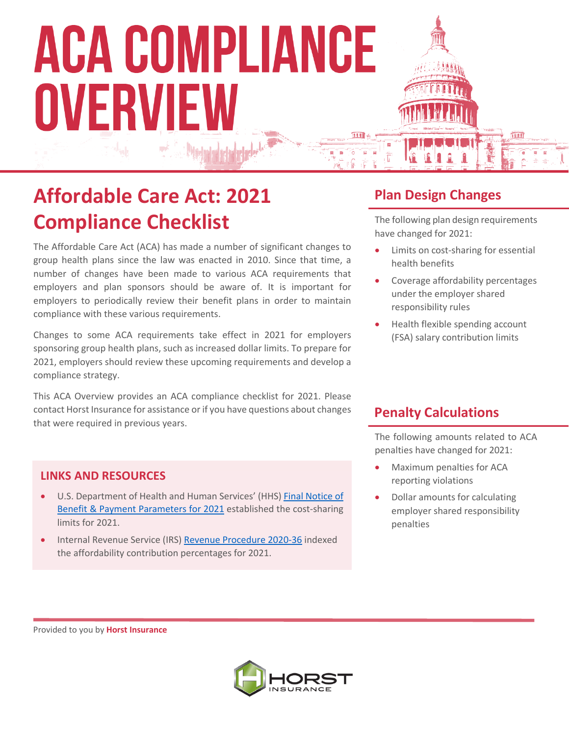### **Affordable Care Act: 2021 Compliance Checklist**

The Affordable Care Act (ACA) has made a number of significant changes to group health plans since the law was enacted in 2010. Since that time, a number of changes have been made to various ACA requirements that employers and plan sponsors should be aware of. It is important for employers to periodically review their benefit plans in order to maintain compliance with these various requirements.

Changes to some ACA requirements take effect in 2021 for employers sponsoring group health plans, such as increased dollar limits. To prepare for 2021, employers should review these upcoming requirements and develop a compliance strategy.

This ACA Overview provides an ACA compliance checklist for 2021. Please contact Horst Insurance for assistance or if you have questions about changes that were required in previous years.

#### **LINKS AND RESOURCES**

- U.S. Department of Health and Human Services' (HHS) Final Notice of Benefit & Payment Parameters for 2021 established the cost-sharing limits for 2021.
- Internal Revenue Service (IRS) Revenue Procedure 2020-36 indexed the affordability contribution percentages for 2021.

#### **Plan Design Changes**

The following plan design requirements have changed for 2021:

- Limits on cost-sharing for essential health benefits
- Coverage affordability percentages under the employer shared responsibility rules
- Health flexible spending account (FSA) salary contribution limits

#### **Penalty Calculations**

The following amounts related to ACA penalties have changed for 2021:

- Maximum penalties for ACA reporting violations
- Dollar amounts for calculating employer shared responsibility penalties

Provided to you by **Horst Insurance**

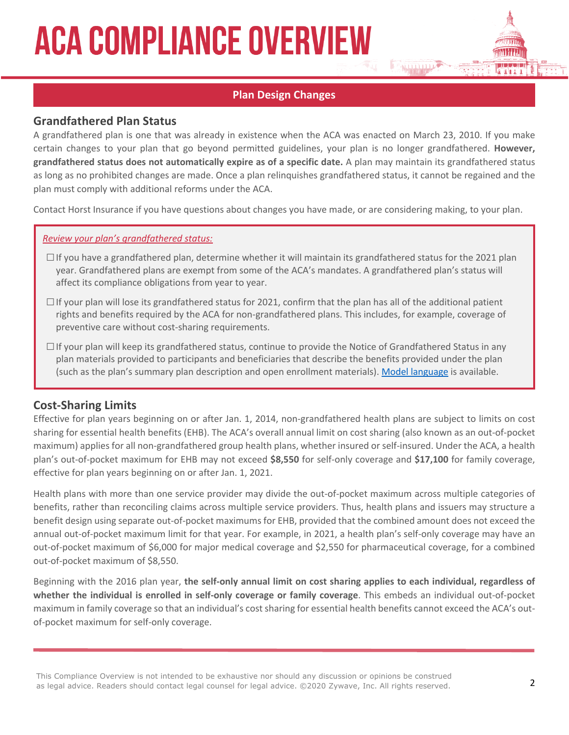#### **Plan Design Changes**

#### **Grandfathered Plan Status**

A grandfathered plan is one that was already in existence when the ACA was enacted on March 23, 2010. If you make certain changes to your plan that go beyond permitted guidelines, your plan is no longer grandfathered. **However, grandfathered status does not automatically expire as of a specific date.** A plan may maintain its grandfathered status as long as no prohibited changes are made. Once a plan relinquishes grandfathered status, it cannot be regained and the plan must comply with additional reforms under the ACA.

Contact Horst Insurance if you have questions about changes you have made, or are considering making, to your plan.

#### *Review your plan's grandfathered status:*

- $\Box$  If you have a grandfathered plan, determine whether it will maintain its grandfathered status for the 2021 plan year. Grandfathered plans are exempt from some of the ACA's mandates. A grandfathered plan's status will affect its compliance obligations from year to year.
- $\Box$  If your plan will lose its grandfathered status for 2021, confirm that the plan has all of the additional patient rights and benefits required by the ACA for non-grandfathered plans. This includes, for example, coverage of preventive care without cost-sharing requirements.
- $\Box$  If your plan will keep its grandfathered status, continue to provide the Notice of Grandfathered Status in any plan materials provided to participants and beneficiaries that describe the benefits provided under the plan (such as the plan's summary plan description and open enrollment materials). Model language is available.

#### **Cost-Sharing Limits**

Effective for plan years beginning on or after Jan. 1, 2014, non-grandfathered health plans are subject to limits on cost sharing for essential health benefits (EHB). The ACA's overall annual limit on cost sharing (also known as an out-of-pocket maximum) applies for all non-grandfathered group health plans, whether insured or self-insured. Under the ACA, a health plan's out-of-pocket maximum for EHB may not exceed **\$8,550** for self-only coverage and **\$17,100** for family coverage, effective for plan years beginning on or after Jan. 1, 2021.

Health plans with more than one service provider may divide the out-of-pocket maximum across multiple categories of benefits, rather than reconciling claims across multiple service providers. Thus, health plans and issuers may structure a benefit design using separate out-of-pocket maximums for EHB, provided that the combined amount does not exceed the annual out-of-pocket maximum limit for that year. For example, in 2021, a health plan's self-only coverage may have an out-of-pocket maximum of \$6,000 for major medical coverage and \$2,550 for pharmaceutical coverage, for a combined out-of-pocket maximum of \$8,550.

Beginning with the 2016 plan year, **the self-only annual limit on cost sharing applies to each individual, regardless of whether the individual is enrolled in self-only coverage or family coverage**. This embeds an individual out-of-pocket maximum in family coverage so that an individual's cost sharing for essential health benefits cannot exceed the ACA's outof-pocket maximum for self-only coverage.

This Compliance Overview is not intended to be exhaustive nor should any discussion or opinions be construed as legal advice. Readers should contact legal counsel for legal advice. ©2020 Zywave, Inc. All rights reserved.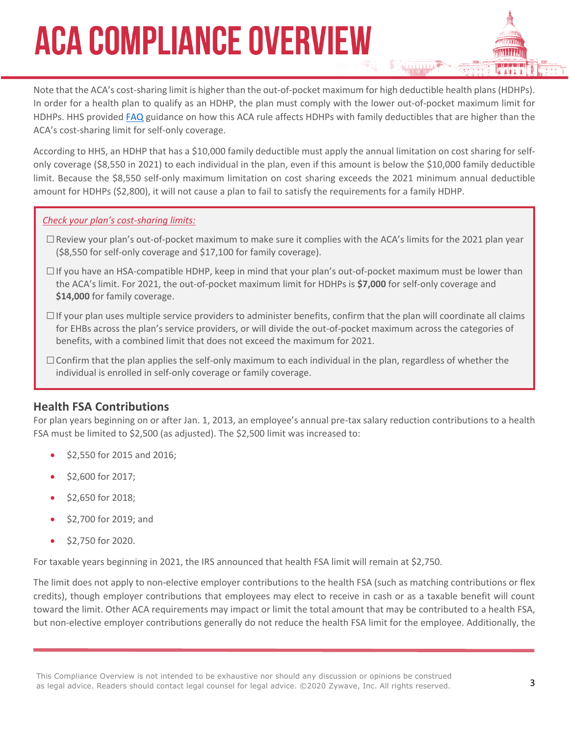Note that the ACA's cost-sharing limit is higher than the out-of-pocket maximum for high deductible health plans (HDHPs). In order for a health plan to qualify as an HDHP, the plan must comply with the lower out-of-pocket maximum limit for HDHPs. HHS provided FAQ guidance on how this ACA rule affects HDHPs with family deductibles that are higher than the ACA's cost-sharing limit for self-only coverage.

According to HHS, an HDHP that has a \$10,000 family deductible must apply the annual limitation on cost sharing for selfonly coverage (\$8,550 in 2021) to each individual in the plan, even if this amount is below the \$10,000 family deductible limit. Because the \$8,550 self-only maximum limitation on cost sharing exceeds the 2021 minimum annual deductible amount for HDHPs (\$2,800), it will not cause a plan to fail to satisfy the requirements for a family HDHP.

#### *Check your plan's cost-sharing limits:*

- □Review your plan's out-of-pocket maximum to make sure it complies with the ACA's limits for the 2021 plan year (\$8,550 for self-only coverage and \$17,100 for family coverage).
- $\Box$  If you have an HSA-compatible HDHP, keep in mind that your plan's out-of-pocket maximum must be lower than the ACA's limit. For 2021, the out-of-pocket maximum limit for HDHPs is **\$7,000** for self-only coverage and **\$14,000** for family coverage.
- $\square$  If your plan uses multiple service providers to administer benefits, confirm that the plan will coordinate all claims for EHBs across the plan's service providers, or will divide the out-of-pocket maximum across the categories of benefits, with a combined limit that does not exceed the maximum for 2021.
- $\square$  Confirm that the plan applies the self-only maximum to each individual in the plan, regardless of whether the individual is enrolled in self-only coverage or family coverage.

#### **Health FSA Contributions**

For plan years beginning on or after Jan. 1, 2013, an employee's annual pre-tax salary reduction contributions to a health FSA must be limited to \$2,500 (as adjusted). The \$2,500 limit was increased to:

- \$2,550 for 2015 and 2016;
- \$2,600 for 2017;
- \$2,650 for 2018;
- \$2,700 for 2019; and
- \$2,750 for 2020.

For taxable years beginning in 2021, the IRS announced that health FSA limit will remain at \$2,750.

The limit does not apply to non-elective employer contributions to the health FSA (such as matching contributions or flex credits), though employer contributions that employees may elect to receive in cash or as a taxable benefit will count toward the limit. Other ACA requirements may impact or limit the total amount that may be contributed to a health FSA, but non-elective employer contributions generally do not reduce the health FSA limit for the employee. Additionally, the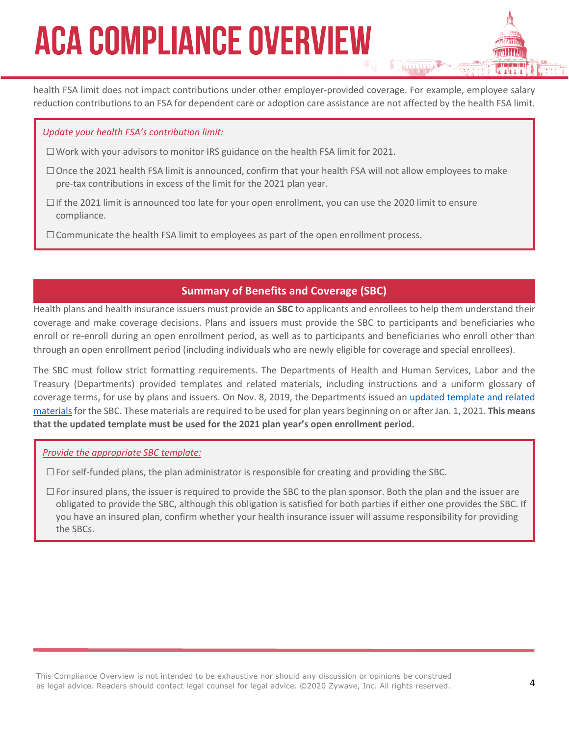health FSA limit does not impact contributions under other employer-provided coverage. For example, employee salary reduction contributions to an FSA for dependent care or adoption care assistance are not affected by the health FSA limit.

#### *Update your health FSA's contribution limit:*

- $\Box$  Work with your advisors to monitor IRS guidance on the health FSA limit for 2021.
- □Once the 2021 health FSA limit is announced, confirm that your health FSA will not allow employees to make pre-tax contributions in excess of the limit for the 2021 plan year.
- $\Box$  If the 2021 limit is announced too late for your open enrollment, you can use the 2020 limit to ensure compliance.
- $\Box$  Communicate the health FSA limit to employees as part of the open enrollment process.

#### **Summary of Benefits and Coverage (SBC)**

Health plans and health insurance issuers must provide an **SBC** to applicants and enrollees to help them understand their coverage and make coverage decisions. Plans and issuers must provide the SBC to participants and beneficiaries who enroll or re-enroll during an open enrollment period, as well as to participants and beneficiaries who enroll other than through an open enrollment period (including individuals who are newly eligible for coverage and special enrollees).

The SBC must follow strict formatting requirements. The Departments of Health and Human Services, Labor and the Treasury (Departments) provided templates and related materials, including instructions and a uniform glossary of coverage terms, for use by plans and issuers. On Nov. 8, 2019, the Departments issued an updated template and related materials for the SBC. These materials are required to be used for plan years beginning on or after Jan. 1, 2021. This means **that the updated template must be used for the 2021 plan year's open enrollment period.**

#### *Provide the appropriate SBC template:*

 $\square$  For self-funded plans, the plan administrator is responsible for creating and providing the SBC.

 $\square$  For insured plans, the issuer is required to provide the SBC to the plan sponsor. Both the plan and the issuer are obligated to provide the SBC, although this obligation is satisfied for both parties if either one provides the SBC. If you have an insured plan, confirm whether your health insurance issuer will assume responsibility for providing the SBCs.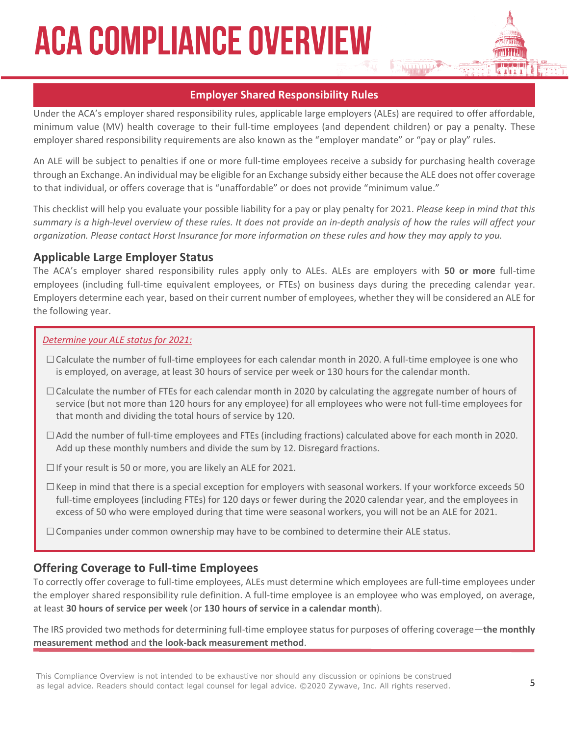#### **Employer Shared Responsibility Rules**

Under the ACA's employer shared responsibility rules, applicable large employers (ALEs) are required to offer affordable, minimum value (MV) health coverage to their full-time employees (and dependent children) or pay a penalty. These employer shared responsibility requirements are also known as the "employer mandate" or "pay or play" rules.

An ALE will be subject to penalties if one or more full-time employees receive a subsidy for purchasing health coverage through an Exchange. An individual may be eligible for an Exchange subsidy either because the ALE does not offer coverage to that individual, or offers coverage that is "unaffordable" or does not provide "minimum value."

This checklist will help you evaluate your possible liability for a pay or play penalty for 2021. *Please keep in mind that this summary is a high-level overview of these rules. It does not provide an in-depth analysis of how the rules will affect your organization. Please contact Horst Insurance for more information on these rules and how they may apply to you.*

#### **Applicable Large Employer Status**

The ACA's employer shared responsibility rules apply only to ALEs. ALEs are employers with **50 or more** full-time employees (including full-time equivalent employees, or FTEs) on business days during the preceding calendar year. Employers determine each year, based on their current number of employees, whether they will be considered an ALE for the following year.

#### *Determine your ALE status for 2021:*

- $\Box$  Calculate the number of full-time employees for each calendar month in 2020. A full-time employee is one who is employed, on average, at least 30 hours of service per week or 130 hours for the calendar month.
- $\Box$  Calculate the number of FTEs for each calendar month in 2020 by calculating the aggregate number of hours of service (but not more than 120 hours for any employee) for all employees who were not full-time employees for that month and dividing the total hours of service by 120.
- $\Box$  Add the number of full-time employees and FTEs (including fractions) calculated above for each month in 2020. Add up these monthly numbers and divide the sum by 12. Disregard fractions.
- $\Box$  If your result is 50 or more, you are likely an ALE for 2021.
- $\Box$  Keep in mind that there is a special exception for employers with seasonal workers. If your workforce exceeds 50 full-time employees (including FTEs) for 120 days or fewer during the 2020 calendar year, and the employees in excess of 50 who were employed during that time were seasonal workers, you will not be an ALE for 2021.
- $\Box$  Companies under common ownership may have to be combined to determine their ALE status.

#### **Offering Coverage to Full-time Employees**

To correctly offer coverage to full-time employees, ALEs must determine which employees are full-time employees under the employer shared responsibility rule definition. A full-time employee is an employee who was employed, on average, at least **30 hours of service per week** (or **130 hours of service in a calendar month**).

The IRS provided two methods for determining full-time employee status for purposes of offering coverage—**the monthly measurement method** and **the look-back measurement method**.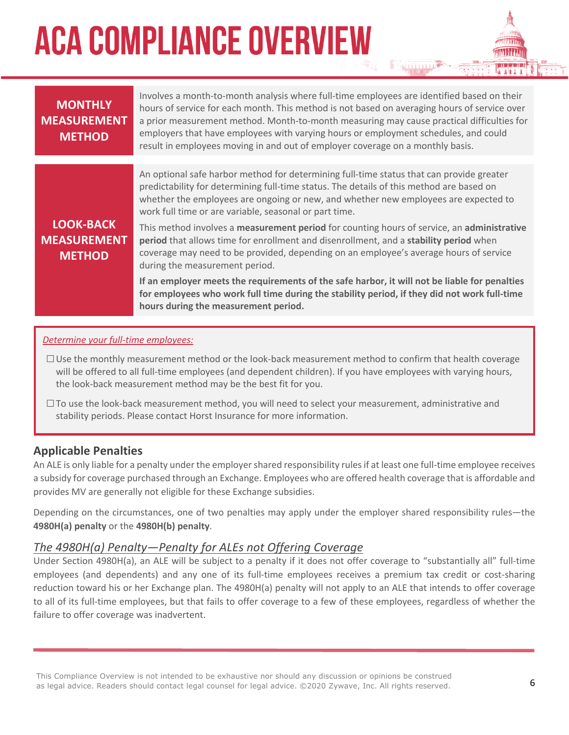| <b>MONTHLY</b><br><b>MEASUREMENT</b><br><b>METHOD</b>   | Involves a month-to-month analysis where full-time employees are identified based on their<br>hours of service for each month. This method is not based on averaging hours of service over<br>a prior measurement method. Month-to-month measuring may cause practical difficulties for<br>employers that have employees with varying hours or employment schedules, and could<br>result in employees moving in and out of employer coverage on a monthly basis. |
|---------------------------------------------------------|------------------------------------------------------------------------------------------------------------------------------------------------------------------------------------------------------------------------------------------------------------------------------------------------------------------------------------------------------------------------------------------------------------------------------------------------------------------|
|                                                         | An optional safe harbor method for determining full-time status that can provide greater<br>predictability for determining full-time status. The details of this method are based on<br>whether the employees are ongoing or new, and whether new employees are expected to<br>work full time or are variable, seasonal or part time.                                                                                                                            |
| <b>LOOK-BACK</b><br><b>MEASUREMENT</b><br><b>METHOD</b> | This method involves a measurement period for counting hours of service, an administrative<br>period that allows time for enrollment and disenrollment, and a stability period when<br>coverage may need to be provided, depending on an employee's average hours of service<br>during the measurement period.                                                                                                                                                   |
|                                                         | If an employer meets the requirements of the safe harbor, it will not be liable for penalties<br>for employees who work full time during the stability period, if they did not work full-time<br>hours during the measurement period.                                                                                                                                                                                                                            |

#### *Determine your full-time employees:*

- $\Box$  Use the monthly measurement method or the look-back measurement method to confirm that health coverage will be offered to all full-time employees (and dependent children). If you have employees with varying hours, the look-back measurement method may be the best fit for you.
- $\square$  To use the look-back measurement method, you will need to select your measurement, administrative and stability periods. Please contact Horst Insurance for more information.

#### **Applicable Penalties**

An ALE is only liable for a penalty under the employer shared responsibility rules if at least one full-time employee receives a subsidy for coverage purchased through an Exchange. Employees who are offered health coverage that is affordable and provides MV are generally not eligible for these Exchange subsidies.

Depending on the circumstances, one of two penalties may apply under the employer shared responsibility rules—the **4980H(a) penalty** or the **4980H(b) penalty**.

#### *The 4980H(a) Penalty—Penalty for ALEs not Offering Coverage*

Under Section 4980H(a), an ALE will be subject to a penalty if it does not offer coverage to "substantially all" full-time employees (and dependents) and any one of its full-time employees receives a premium tax credit or cost-sharing reduction toward his or her Exchange plan. The 4980H(a) penalty will not apply to an ALE that intends to offer coverage to all of its full-time employees, but that fails to offer coverage to a few of these employees, regardless of whether the failure to offer coverage was inadvertent.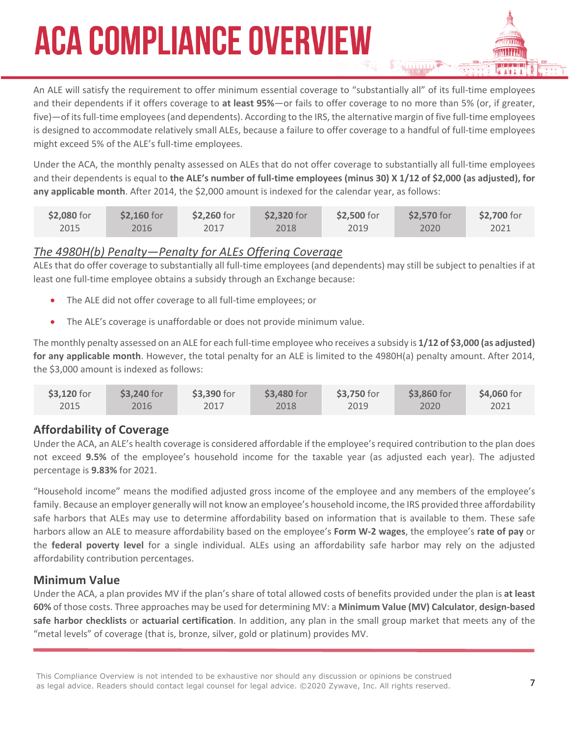An ALE will satisfy the requirement to offer minimum essential coverage to "substantially all" of its full-time employees and their dependents if it offers coverage to **at least 95%**—or fails to offer coverage to no more than 5% (or, if greater, five)—of its full-time employees (and dependents). According to the IRS, the alternative margin of five full-time employees is designed to accommodate relatively small ALEs, because a failure to offer coverage to a handful of full-time employees might exceed 5% of the ALE's full-time employees.

Under the ACA, the monthly penalty assessed on ALEs that do not offer coverage to substantially all full-time employees and their dependents is equal to **the ALE's number of full-time employees (minus 30) X 1/12 of \$2,000 (as adjusted), for any applicable month**. After 2014, the \$2,000 amount is indexed for the calendar year, as follows:

| \$2,080 for | \$2,160 for | \$2,260 for | \$2,320 for | \$2,500 for | \$2,570 for | \$2,700 for |
|-------------|-------------|-------------|-------------|-------------|-------------|-------------|
| 2015        | 2016        | 2017        | 2018        | 2019        | 2020        | 2021        |

#### *The 4980H(b) Penalty—Penalty for ALEs Offering Coverage*

ALEs that do offer coverage to substantially all full-time employees (and dependents) may still be subject to penalties if at least one full-time employee obtains a subsidy through an Exchange because:

- The ALE did not offer coverage to all full-time employees; or
- The ALE's coverage is unaffordable or does not provide minimum value.

The monthly penalty assessed on an ALE for each full-time employee who receives a subsidy is **1/12 of \$3,000 (as adjusted) for any applicable month**. However, the total penalty for an ALE is limited to the 4980H(a) penalty amount. After 2014, the \$3,000 amount is indexed as follows:

| \$3,120 for | \$3,240 for | \$3,390 for | \$3,480 for | \$3,750 for | \$3,860 for | \$4,060 for |
|-------------|-------------|-------------|-------------|-------------|-------------|-------------|
| 2015        | 2016        | 2017        | 2018        | 2019        | 2020        | 2021        |

#### **Affordability of Coverage**

Under the ACA, an ALE's health coverage is considered affordable if the employee's required contribution to the plan does not exceed **9.5%** of the employee's household income for the taxable year (as adjusted each year). The adjusted percentage is **9.83%** for 2021.

"Household income" means the modified adjusted gross income of the employee and any members of the employee's family. Because an employer generally will not know an employee's household income, the IRS provided three affordability safe harbors that ALEs may use to determine affordability based on information that is available to them. These safe harbors allow an ALE to measure affordability based on the employee's **Form W-2 wages**, the employee's **rate of pay** or the **federal poverty level** for a single individual. ALEs using an affordability safe harbor may rely on the adjusted affordability contribution percentages.

#### **Minimum Value**

Under the ACA, a plan provides MV if the plan's share of total allowed costs of benefits provided under the plan is **at least 60%** of those costs. Three approaches may be used for determining MV: a **Minimum Value (MV) Calculator**, **design-based safe harbor checklists** or **actuarial certification**. In addition, any plan in the small group market that meets any of the "metal levels" of coverage (that is, bronze, silver, gold or platinum) provides MV.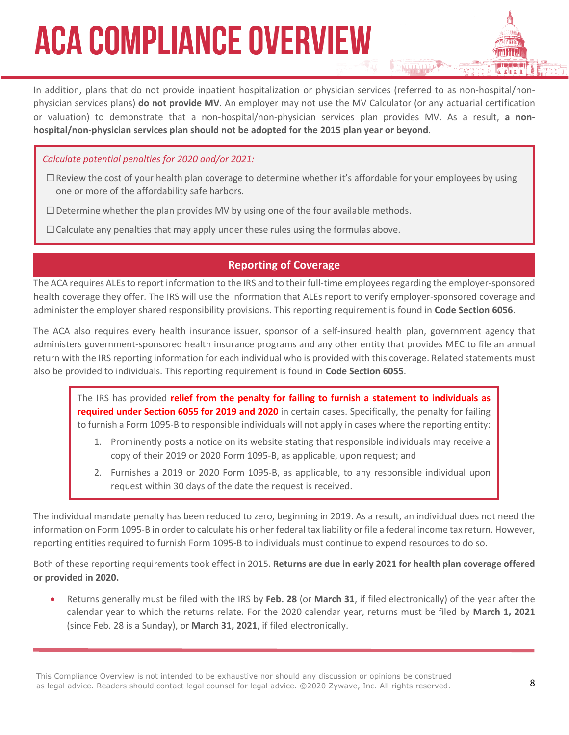In addition, plans that do not provide inpatient hospitalization or physician services (referred to as non-hospital/nonphysician services plans) **do not provide MV**. An employer may not use the MV Calculator (or any actuarial certification or valuation) to demonstrate that a non-hospital/non-physician services plan provides MV. As a result, **a nonhospital/non-physician services plan should not be adopted for the 2015 plan year or beyond**.

*Calculate potential penalties for 2020 and/or 2021:*

- $\square$  Review the cost of your health plan coverage to determine whether it's affordable for your employees by using one or more of the affordability safe harbors.
- $\square$  Determine whether the plan provides MV by using one of the four available methods.
- $\Box$  Calculate any penalties that may apply under these rules using the formulas above.

#### **Reporting of Coverage**

The ACA requires ALEs to report information to the IRS and to their full-time employees regarding the employer-sponsored health coverage they offer. The IRS will use the information that ALEs report to verify employer-sponsored coverage and administer the employer shared responsibility provisions. This reporting requirement is found in **Code Section 6056**.

The ACA also requires every health insurance issuer, sponsor of a self-insured health plan, government agency that administers government-sponsored health insurance programs and any other entity that provides MEC to file an annual return with the IRS reporting information for each individual who is provided with this coverage. Related statements must also be provided to individuals. This reporting requirement is found in **Code Section 6055**.

The IRS has provided **relief from the penalty for failing to furnish a statement to individuals as required under Section 6055 for 2019 and 2020** in certain cases. Specifically, the penalty for failing to furnish a Form 1095-B to responsible individuals will not apply in cases where the reporting entity:

- 1. Prominently posts a notice on its website stating that responsible individuals may receive a copy of their 2019 or 2020 Form 1095-B, as applicable, upon request; and
- 2. Furnishes a 2019 or 2020 Form 1095-B, as applicable, to any responsible individual upon request within 30 days of the date the request is received.

The individual mandate penalty has been reduced to zero, beginning in 2019. As a result, an individual does not need the information on Form 1095-B in order to calculate his or her federal tax liability or file a federal income tax return. However, reporting entities required to furnish Form 1095-B to individuals must continue to expend resources to do so.

Both of these reporting requirements took effect in 2015. **Returns are due in early 2021 for health plan coverage offered or provided in 2020.**

• Returns generally must be filed with the IRS by **Feb. 28** (or **March 31**, if filed electronically) of the year after the calendar year to which the returns relate. For the 2020 calendar year, returns must be filed by **March 1, 2021**  (since Feb. 28 is a Sunday), or **March 31, 2021**, if filed electronically.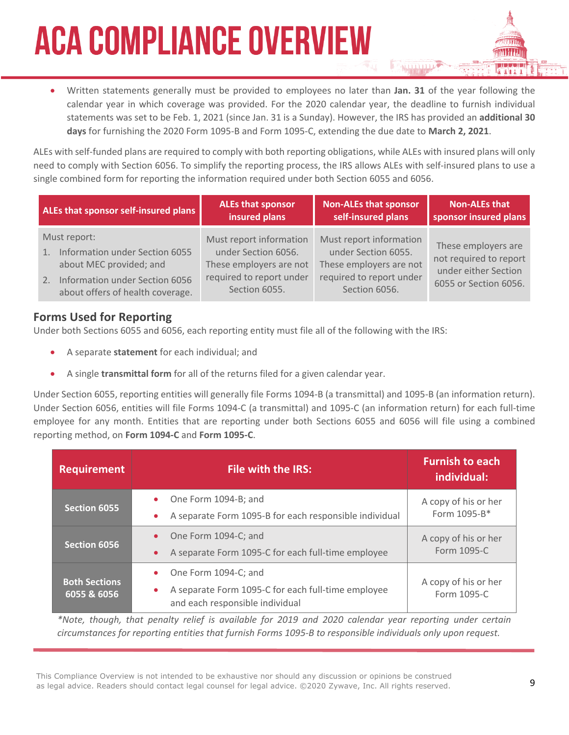• Written statements generally must be provided to employees no later than **Jan. 31** of the year following the calendar year in which coverage was provided. For the 2020 calendar year, the deadline to furnish individual statements was set to be Feb. 1, 2021 (since Jan. 31 is a Sunday). However, the IRS has provided an **additional 30 days** for furnishing the 2020 Form 1095-B and Form 1095-C, extending the due date to **March 2, 2021**.

ALEs with self-funded plans are required to comply with both reporting obligations, while ALEs with insured plans will only need to comply with Section 6056. To simplify the reporting process, the IRS allows ALEs with self-insured plans to use a single combined form for reporting the information required under both Section 6055 and 6056.

|                  | ALEs that sponsor self-insured plans                                                                                                               | <b>ALEs that sponsor</b><br>insured plans                                                                              | <b>Non-ALEs that sponsor</b><br>self-insured plans                                                                     | Non-ALEs that<br>sponsor insured plans                                                         |
|------------------|----------------------------------------------------------------------------------------------------------------------------------------------------|------------------------------------------------------------------------------------------------------------------------|------------------------------------------------------------------------------------------------------------------------|------------------------------------------------------------------------------------------------|
| $\overline{1}$ . | Must report:<br>Information under Section 6055<br>about MEC provided; and<br>2. Information under Section 6056<br>about offers of health coverage. | Must report information<br>under Section 6056.<br>These employers are not<br>required to report under<br>Section 6055. | Must report information<br>under Section 6055.<br>These employers are not<br>required to report under<br>Section 6056. | These employers are<br>not required to report<br>under either Section<br>6055 or Section 6056. |

#### **Forms Used for Reporting**

Under both Sections 6055 and 6056, each reporting entity must file all of the following with the IRS:

- A separate **statement** for each individual; and
- A single **transmittal form** for all of the returns filed for a given calendar year.

Under Section 6055, reporting entities will generally file Forms 1094-B (a transmittal) and 1095-B (an information return). Under Section 6056, entities will file Forms 1094-C (a transmittal) and 1095-C (an information return) for each full-time employee for any month. Entities that are reporting under both Sections 6055 and 6056 will file using a combined reporting method, on **Form 1094-C** and **Form 1095-C**.

| <b>Requirement</b>                  | <b>File with the IRS:</b>                                                                                                               | <b>Furnish to each</b><br>individual: |
|-------------------------------------|-----------------------------------------------------------------------------------------------------------------------------------------|---------------------------------------|
| <b>Section 6055</b>                 | One Form 1094-B; and<br>$\bullet$<br>A separate Form 1095-B for each responsible individual<br>$\bullet$                                | A copy of his or her<br>Form 1095-B*  |
| Section 6056                        | One Form 1094-C; and<br>$\bullet$<br>A separate Form 1095-C for each full-time employee<br>$\bullet$                                    | A copy of his or her<br>Form 1095-C   |
| <b>Both Sections</b><br>6055 & 6056 | One Form 1094-C; and<br>$\bullet$<br>A separate Form 1095-C for each full-time employee<br>$\bullet$<br>and each responsible individual | A copy of his or her<br>Form 1095-C   |

*\*Note, though, that penalty relief is available for 2019 and 2020 calendar year reporting under certain circumstances for reporting entities that furnish Forms 1095-B to responsible individuals only upon request.*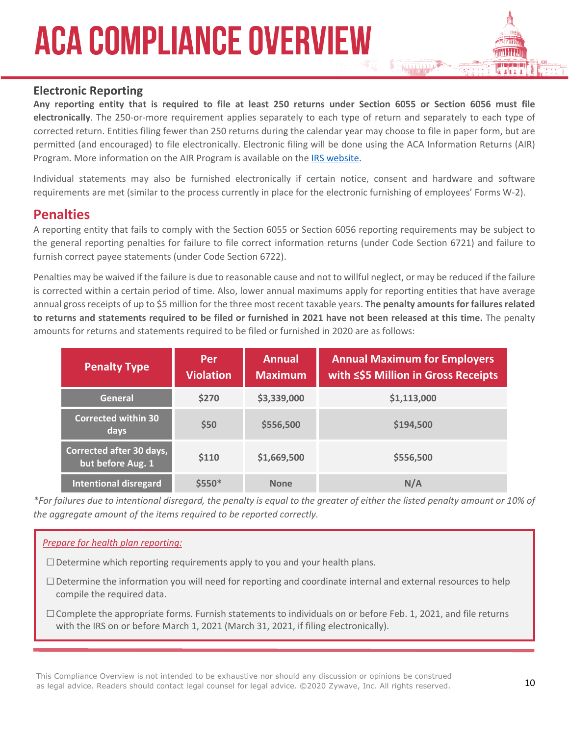#### **Electronic Reporting**

**Any reporting entity that is required to file at least 250 returns under Section 6055 or Section 6056 must file electronically**. The 250-or-more requirement applies separately to each type of return and separately to each type of corrected return. Entities filing fewer than 250 returns during the calendar year may choose to file in paper form, but are permitted (and encouraged) to file electronically. Electronic filing will be done using the ACA Information Returns (AIR) Program. More information on the AIR Program is available on the IRS website.

Individual statements may also be furnished electronically if certain notice, consent and hardware and software requirements are met (similar to the process currently in place for the electronic furnishing of employees' Forms W-2).

#### **Penalties**

A reporting entity that fails to comply with the Section 6055 or Section 6056 reporting requirements may be subject to the general reporting penalties for failure to file correct information returns (under Code Section 6721) and failure to furnish correct payee statements (under Code Section 6722).

Penalties may be waived if the failure is due to reasonable cause and not to willful neglect, or may be reduced if the failure is corrected within a certain period of time. Also, lower annual maximums apply for reporting entities that have average annual gross receipts of up to \$5 million for the three most recent taxable years. **The penalty amounts for failures related to returns and statements required to be filed or furnished in 2021 have not been released at this time.** The penalty amounts for returns and statements required to be filed or furnished in 2020 are as follows:

| <b>Penalty Type</b>                           | Per<br><b>Violation</b> | <b>Annual</b><br><b>Maximum</b> | <b>Annual Maximum for Employers</b><br>with ≤\$5 Million in Gross Receipts |
|-----------------------------------------------|-------------------------|---------------------------------|----------------------------------------------------------------------------|
| <b>General</b>                                | \$270                   | \$3,339,000                     | \$1,113,000                                                                |
| <b>Corrected within 30</b><br>days            | \$50                    | \$556,500                       | \$194,500                                                                  |
| Corrected after 30 days,<br>but before Aug. 1 | \$110                   | \$1,669,500                     | \$556,500                                                                  |
| <b>Intentional disregard</b>                  | $$5550*$                | <b>None</b>                     | N/A                                                                        |

*\*For failures due to intentional disregard, the penalty is equal to the greater of either the listed penalty amount or 10% of the aggregate amount of the items required to be reported correctly.*

#### *Prepare for health plan reporting:*

- $\square$  Determine which reporting requirements apply to you and your health plans.
- □Determine the information you will need for reporting and coordinate internal and external resources to help compile the required data.
- $\Box$  Complete the appropriate forms. Furnish statements to individuals on or before Feb. 1, 2021, and file returns with the IRS on or before March 1, 2021 (March 31, 2021, if filing electronically).